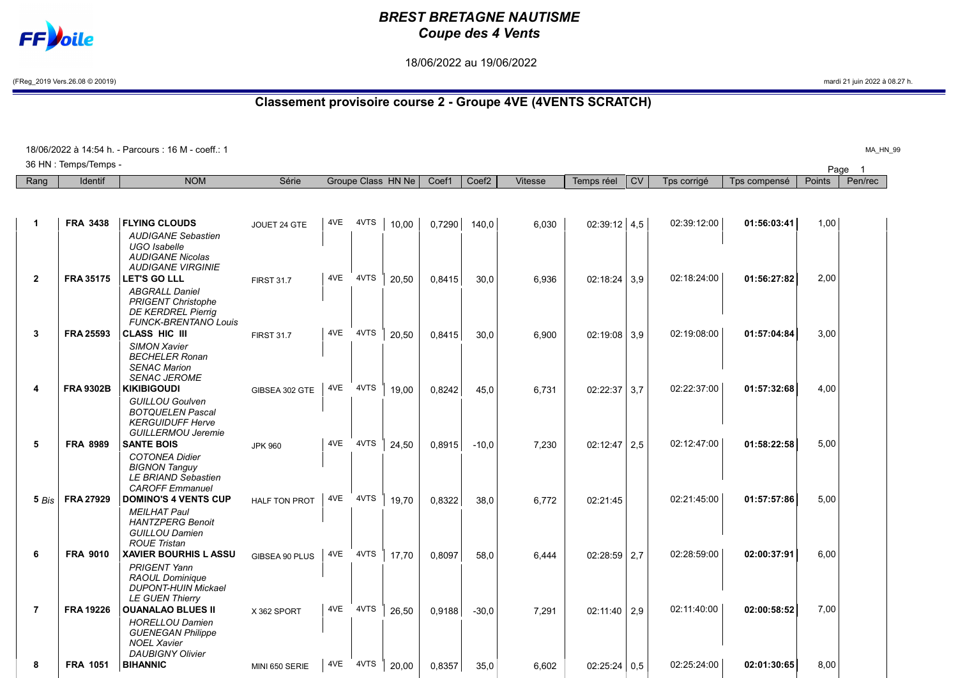## **FF**bile

## BREST BRETAGNE NAUTISME Coupe des 4 Vents

18/06/2022 au 19/06/2022

(FReg\_2019 Vers.26.08 © 20019) mardi 21 juin 2022 à 08.27 h.

## Classement provisoire course 2 - Groupe 4VE (4VENTS SCRATCH)

|                |                       | 18/06/2022 à 14:54 h. - Parcours : 16 M - coeff.: 1                                                                                   |                      |     |      |                    |        |                   |                |                  |           |             |              |        | MA HN 99                |
|----------------|-----------------------|---------------------------------------------------------------------------------------------------------------------------------------|----------------------|-----|------|--------------------|--------|-------------------|----------------|------------------|-----------|-------------|--------------|--------|-------------------------|
|                | 36 HN : Temps/Temps - |                                                                                                                                       |                      |     |      |                    |        |                   |                |                  |           |             |              | Page   | $\overline{\mathbf{1}}$ |
| Rang           | <b>Identif</b>        | <b>NOM</b>                                                                                                                            | Série                |     |      | Groupe Class HN Ne | Coef1  | Coef <sub>2</sub> | <b>Vitesse</b> | Temps réel       | <b>CV</b> | Tps corrigé | Tps compensé | Points | Pen/rec                 |
|                |                       |                                                                                                                                       |                      |     |      |                    |        |                   |                |                  |           |             |              |        |                         |
| $\mathbf{1}$   | <b>FRA 3438</b>       | <b>FLYING CLOUDS</b><br><b>AUDIGANE Sebastien</b><br>UGO Isabelle<br><b>AUDIGANE Nicolas</b><br><b>AUDIGANE VIRGINIE</b>              | JOUET 24 GTE         | 4VE | 4VTS | 10,00              | 0,7290 | 140,0             | 6,030          | $02:39:12$ 4,5   |           | 02:39:12:00 | 01:56:03:41  | 1,00   |                         |
| $\overline{2}$ | <b>FRA 35175</b>      | <b>LET'S GO LLL</b><br><b>ABGRALL Daniel</b><br><b>PRIGENT Christophe</b><br><b>DE KERDREL Pierrig</b><br><b>FUNCK-BRENTANO Louis</b> | <b>FIRST 31.7</b>    | 4VE | 4VTS | 20,50              | 0,8415 | 30,0              | 6,936          | $02:18:24$ 3.9   |           | 02:18:24:00 | 01:56:27:82  | 2,00   |                         |
| 3              | <b>FRA 25593</b>      | CLASS HIC III<br><b>SIMON Xavier</b><br><b>BECHELER Ronan</b><br><b>SENAC Marion</b><br><b>SENAC JEROME</b>                           | <b>FIRST 31.7</b>    | 4VE | 4VTS | 20,50              | 0.8415 | 30.0              | 6,900          | $02:19:08$ 3.9   |           | 02:19:08:00 | 01:57:04:84  | 3,00   |                         |
| 4              | <b>FRA 9302B</b>      | <b>KIKIBIGOUDI</b><br><b>GUILLOU Goulven</b><br><b>BOTQUELEN Pascal</b><br><b>KERGUIDUFF Herve</b><br><b>GUILLERMOU Jeremie</b>       | GIBSEA 302 GTE       | 4VE | 4VTS | 19.00              | 0.8242 | 45.0              | 6.731          | $02:22:37$ 3.7   |           | 02:22:37:00 | 01:57:32:68  | 4,00   |                         |
| 5              | <b>FRA 8989</b>       | <b>SANTE BOIS</b><br><b>COTONEA Didier</b><br><b>BIGNON Tanguy</b><br><b>LE BRIAND Sebastien</b><br><b>CAROFF</b> Emmanuel            | <b>JPK 960</b>       | 4VE | 4VTS | 24,50              | 0.8915 | $-10.0$           | 7,230          | $02:12:47$ 2.5   |           | 02:12:47:00 | 01:58:22:58  | 5,00   |                         |
| 5 Bis          | <b>FRA 27929</b>      | <b>DOMINO'S 4 VENTS CUP</b><br><b>MEILHAT Paul</b><br><b>HANTZPERG Benoit</b><br><b>GUILLOU Damien</b><br><b>ROUE Tristan</b>         | <b>HALF TON PROT</b> | 4VE | 4VTS | 19.70              | 0.8322 | 38,0              | 6,772          | 02:21:45         |           | 02:21:45:00 | 01:57:57:86  | 5,00   |                         |
| 6              | <b>FRA 9010</b>       | <b>XAVIER BOURHIS L ASSU</b><br><b>PRIGENT Yann</b><br><b>RAOUL Dominique</b><br><b>DUPONT-HUIN Mickael</b><br><b>LE GUEN Thierry</b> | GIBSEA 90 PLUS       | 4VE | 4VTS | 17.70              | 0.8097 | 58.0              | 6.444          | $02:28:59$   2.7 |           | 02:28:59:00 | 02:00:37:91  | 6,00   |                         |
| $\overline{7}$ | <b>FRA 19226</b>      | <b>OUANALAO BLUES II</b><br><b>HORELLOU Damien</b><br><b>GUENEGAN Philippe</b><br><b>NOEL Xavier</b><br><b>DAUBIGNY Olivier</b>       | X 362 SPORT          | 4VE | 4VTS | 26.50              | 0.9188 | $-30.0$           | 7,291          | $02:11:40$   2.9 |           | 02:11:40:00 | 02:00:58:52  | 7,00   |                         |
| 8              | <b>FRA 1051</b>       | <b>BIHANNIC</b>                                                                                                                       | MINI 650 SERIE       | 4VE | 4VTS | 20.00              | 0.8357 | 35.0              | 6.602          | $02:25:24$ 0.5   |           | 02:25:24:00 | 02:01:30:65  | 8,00   |                         |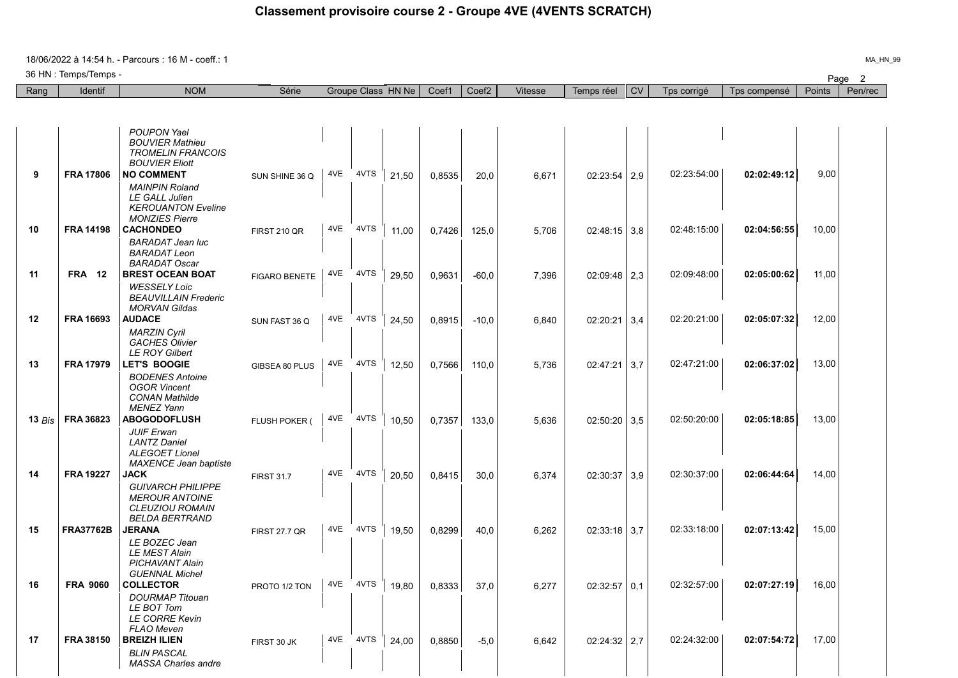18/06/2022 à 14:54 h. - Parcours : 16 M - coeff.: 1

36 HN : Temps/Temps -

| Rang     | <b>Identif</b>   | <b>NOM</b>                                                                                                         | Série                |     |          | Groupe Class HN Ne | Coef1  | Coef <sub>2</sub> | Vitesse | Temps réel     | <b>CV</b> | Tps corrigé | Tps compensé | Points | Pen/rec |
|----------|------------------|--------------------------------------------------------------------------------------------------------------------|----------------------|-----|----------|--------------------|--------|-------------------|---------|----------------|-----------|-------------|--------------|--------|---------|
|          |                  |                                                                                                                    |                      |     |          |                    |        |                   |         |                |           |             |              |        |         |
|          |                  |                                                                                                                    |                      |     |          |                    |        |                   |         |                |           |             |              |        |         |
|          |                  | <b>POUPON Yael</b><br><b>BOUVIER Mathieu</b><br><b>TROMELIN FRANCOIS</b><br><b>BOUVIER Eliott</b>                  |                      |     |          |                    |        |                   |         |                |           |             |              |        |         |
| 9        | <b>FRA 17806</b> | <b>NO COMMENT</b>                                                                                                  | SUN SHINE 36 Q       | 4VE | 4VTS     | 21,50              | 0,8535 | 20,0              | 6,671   | $02:23:54$ 2,9 |           | 02:23:54:00 | 02:02:49:12  | 9,00   |         |
|          |                  | <b>MAINPIN Roland</b><br><b>LE GALL Julien</b><br><b>KEROUANTON Eveline</b><br><b>MONZIES Pierre</b>               |                      |     |          |                    |        |                   |         |                |           |             |              |        |         |
| 10       | <b>FRA 14198</b> | <b>CACHONDEO</b>                                                                                                   | <b>FIRST 210 QR</b>  | 4VE | 4VTS     | 11,00              | 0,7426 | 125,0             | 5,706   | $02:48:15$ 3.8 |           | 02:48:15:00 | 02:04:56:55  | 10,00  |         |
|          |                  | <b>BARADAT Jean luc</b><br><b>BARADAT Leon</b><br><b>BARADAT Oscar</b>                                             |                      |     |          |                    |        |                   |         |                |           |             |              |        |         |
| 11       | <b>FRA 12</b>    | <b>BREST OCEAN BOAT</b><br><b>WESSELY Loic</b><br><b>BEAUVILLAIN Frederic</b><br><b>MORVAN Gildas</b>              | <b>FIGARO BENETE</b> |     | 4VE 4VTS | 29.50              | 0,9631 | $-60,0$           | 7.396   | $02:09:48$ 2,3 |           | 02:09:48:00 | 02:05:00:62  | 11,00  |         |
| 12       | <b>FRA 16693</b> | <b>AUDACE</b>                                                                                                      | SUN FAST 36 Q        | 4VE | 4VTS     | 24.50              | 0,8915 | $-10,0$           | 6,840   | 02:20:21       | 3,4       | 02:20:21:00 | 02:05:07:32  | 12.00  |         |
|          |                  | <b>MARZIN Cvril</b><br><b>GACHES Olivier</b><br><b>LE ROY Gilbert</b>                                              |                      |     |          |                    |        |                   |         |                |           |             |              |        |         |
| 13       | <b>FRA 17979</b> | <b>LET'S BOOGIE</b>                                                                                                | GIBSEA 80 PLUS       | 4VE | 4VTS     | 12,50              | 0,7566 | 110,0             | 5.736   | 02:47:21       | 3.7       | 02:47:21:00 | 02:06:37:02  | 13.00  |         |
| 13 $Bis$ | FRA 36823        | <b>BODENES Antoine</b><br><b>OGOR Vincent</b><br><b>CONAN Mathilde</b><br><b>MENEZ Yann</b><br><b>ABOGODOFLUSH</b> | FLUSH POKER (        | 4VE | 4VTS     | 10.50              | 0.7357 | 133,0             | 5.636   | $02:50:20$ 3.5 |           | 02:50:20:00 | 02:05:18:85  | 13,00  |         |
|          |                  | <b>JUIF Erwan</b><br><b>LANTZ Daniel</b><br><b>ALEGOET Lionel</b><br><b>MAXENCE Jean baptiste</b>                  |                      |     |          |                    |        |                   |         |                |           |             |              |        |         |
| 14       | <b>FRA 19227</b> | <b>JACK</b>                                                                                                        | <b>FIRST 31.7</b>    | 4VE | 4VTS     | 20.50              | 0,8415 | 30,0              | 6,374   | 02:30:37       | 3,9       | 02:30:37:00 | 02:06:44:64  | 14,00  |         |
|          |                  | <b>GUIVARCH PHILIPPE</b><br><b>MEROUR ANTOINE</b><br><b>CLEUZIOU ROMAIN</b><br><b>BELDA BERTRAND</b>               |                      |     |          |                    |        |                   |         |                |           |             |              |        |         |
| 15       | <b>FRA37762B</b> | <b>JERANA</b>                                                                                                      | <b>FIRST 27.7 QR</b> | 4VE | 4VTS     | 19.50              | 0.8299 | 40.0              | 6.262   | $02:33:18$ 3.7 |           | 02:33:18:00 | 02:07:13:42  | 15,00  |         |
|          |                  | LE BOZEC Jean<br>LE MEST Alain<br><b>PICHAVANT Alain</b><br><b>GUENNAL Michel</b>                                  |                      |     |          |                    |        |                   |         |                |           |             |              |        |         |
| 16       | <b>FRA 9060</b>  | <b>COLLECTOR</b>                                                                                                   | PROTO 1/2 TON        |     | 4VE 4VTS | 19.80              | 0.8333 | 37.0              | 6.277   | 02:32:57       | 0.1       | 02:32:57:00 | 02:07:27:19  | 16,00  |         |
|          |                  | <b>DOURMAP Titouan</b><br>LE BOT Tom<br><b>LE CORRE Kevin</b><br><b>FLAO Meven</b>                                 |                      |     |          |                    |        |                   |         |                |           |             |              |        |         |
| 17       | FRA 38150        | <b>BREIZH ILIEN</b>                                                                                                | FIRST 30 JK          | 4VE | 4VTS     | 24,00              | 0,8850 | $-5,0$            | 6,642   | $02:24:32$ 2,7 |           | 02:24:32:00 | 02:07:54:72  | 17,00  |         |
|          |                  | <b>BLIN PASCAL</b><br><b>MASSA Charles andre</b>                                                                   |                      |     |          |                    |        |                   |         |                |           |             |              |        |         |

Page 2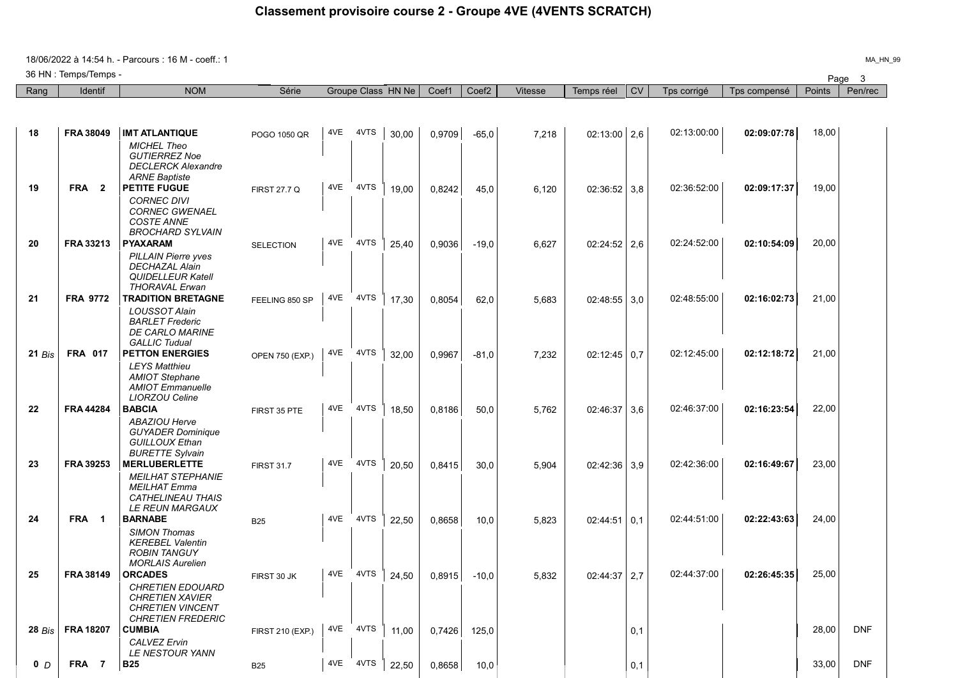18/06/2022 à 14:54 h. - Parcours : 16 M - coeff.: 1

36 HN : Temps/Temps -

|                | 36 HN : Temps/Temps - |                                                                                                                                       |                     |     |          |                    |        |                   |         |                |           |             |              |        | Page 3     |
|----------------|-----------------------|---------------------------------------------------------------------------------------------------------------------------------------|---------------------|-----|----------|--------------------|--------|-------------------|---------|----------------|-----------|-------------|--------------|--------|------------|
| Rang           | <b>Identif</b>        | <b>NOM</b>                                                                                                                            | Série               |     |          | Groupe Class HN Ne | Coef1  | Coef <sub>2</sub> | Vitesse | Temps réel     | <b>CV</b> | Tps corrigé | Tps compensé | Points | Pen/rec    |
|                |                       |                                                                                                                                       |                     |     |          |                    |        |                   |         |                |           |             |              |        |            |
| 18             | <b>FRA 38049</b>      | <b>IMT ATLANTIQUE</b>                                                                                                                 | POGO 1050 QR        | 4VE | 4VTS     | 30,00              | 0,9709 | $-65,0$           | 7,218   | $02:13:00$ 2,6 |           | 02:13:00:00 | 02:09:07:78  | 18,00  |            |
| 19             | FRA <sub>2</sub>      | <b>MICHEL Theo</b><br><b>GUTIERREZ Noe</b><br><b>DECLERCK Alexandre</b><br><b>ARNE Baptiste</b><br><b>PETITE FUGUE</b>                | <b>FIRST 27.7 Q</b> | 4VE | 4VTS     | 19,00              | 0,8242 | 45,0              | 6,120   | $02:36:52$ 3.8 |           | 02:36:52:00 | 02:09:17:37  | 19,00  |            |
|                |                       | <b>CORNEC DIVI</b><br><b>CORNEC GWENAEL</b><br><b>COSTE ANNE</b><br><b>BROCHARD SYLVAIN</b>                                           |                     |     |          |                    |        |                   |         |                |           |             |              |        |            |
| 20             | FRA 33213             | <b>PYAXARAM</b>                                                                                                                       | <b>SELECTION</b>    | 4VE | 4VTS     | 25,40              | 0,9036 | $-19.0$           | 6,627   | $02:24:52$ 2.6 |           | 02:24:52:00 | 02:10:54:09  | 20,00  |            |
| 21             | <b>FRA 9772</b>       | <b>PILLAIN Pierre yves</b><br><b>DECHAZAL Alain</b><br><b>QUIDELLEUR Katell</b><br><b>THORAVAL Erwan</b><br><b>TRADITION BRETAGNE</b> |                     |     | 4VE 4VTS | 17,30              | 0,8054 | 62,0              | 5,683   | $02:48:55$ 3,0 |           | 02:48:55:00 | 02:16:02:73  | 21,00  |            |
|                |                       | <b>LOUSSOT Alain</b><br><b>BARLET</b> Frederic<br><b>DE CARLO MARINE</b><br><b>GALLIC Tudual</b>                                      | FEELING 850 SP      |     |          |                    |        |                   |         |                |           |             |              |        |            |
| 21 Bis         | <b>FRA 017</b>        | <b>PETTON ENERGIES</b>                                                                                                                | OPEN 750 (EXP.)     |     | 4VE 4VTS | 32,00              | 0,9967 | $-81,0$           | 7,232   | $02:12:45$ 0.7 |           | 02:12:45:00 | 02:12:18:72  | 21,00  |            |
|                |                       | <b>LEYS Matthieu</b><br><b>AMIOT Stephane</b><br><b>AMIOT</b> Emmanuelle<br><b>LIORZOU Celine</b>                                     |                     |     |          |                    |        |                   |         |                |           |             |              |        |            |
| 22             | <b>FRA 44284</b>      | <b>BABCIA</b>                                                                                                                         | FIRST 35 PTE        | 4VE | 4VTS     | 18,50              | 0,8186 | 50,0              | 5,762   | 02:46:37       | 3,6       | 02:46:37:00 | 02:16:23:54  | 22,00  |            |
|                |                       | <b>ABAZIOU Herve</b><br><b>GUYADER Dominique</b><br><b>GUILLOUX Ethan</b><br><b>BURETTE Sylvain</b>                                   |                     | 4VE | 4VTS     |                    |        |                   |         |                |           |             |              |        |            |
| 23             | <b>FRA 39253</b>      | <b>MERLUBERLETTE</b><br><b>MEILHAT STEPHANIE</b><br><b>MEILHAT Emma</b><br>CATHELINEAU THAIS<br>LE REUN MARGAUX                       | <b>FIRST 31.7</b>   |     |          | 20,50              | 0,8415 | 30,0              | 5,904   | $02:42:36$ 3,9 |           | 02:42:36:00 | 02:16:49:67  | 23,00  |            |
| 24             | FRA 1                 | <b>BARNABE</b>                                                                                                                        | <b>B25</b>          | 4VE | 4VTS     | 22,50              | 0,8658 | 10,0              | 5,823   | $02:44:51$ 0.1 |           | 02:44:51:00 | 02:22:43:63  | 24,00  |            |
|                |                       | <b>SIMON Thomas</b><br><b>KEREBEL Valentin</b><br><b>ROBIN TANGUY</b><br><b>MORLAIS Aurelien</b>                                      |                     |     |          |                    |        |                   |         |                |           |             |              |        |            |
| 25             | <b>FRA 38149</b>      | <b>ORCADES</b>                                                                                                                        | FIRST 30 JK         | 4VE | 4VTS     | 24,50              | 0,8915 | $-10,0$           | 5,832   | $02:44:37$ 2,7 |           | 02:44:37:00 | 02:26:45:35  | 25,00  |            |
|                |                       | <i>CHRETIEN EDOUARD</i><br><b>CHRETIEN XAVIER</b><br><b>CHRETIEN VINCENT</b><br><b>CHRETIEN FREDERIC</b>                              |                     |     |          |                    |        |                   |         |                |           |             |              |        |            |
| $28$ Bis       | <b>FRA 18207</b>      | CUMBIA<br><b>CALVEZ Ervin</b><br>LE NESTOUR YANN                                                                                      | FIRST 210 (EXP.)    |     | 4VE 4VTS | 11,00              | 0,7426 | 125,0             |         |                | 0,1       |             |              | 28,00  | <b>DNF</b> |
| 0 <sub>D</sub> | FRA 7                 | <b>B25</b>                                                                                                                            | <b>B25</b>          |     | 4VE 4VTS | 22,50              | 0,8658 | 10,0              |         |                | 0,1       |             |              | 33,00  | <b>DNF</b> |

MA\_HN\_99